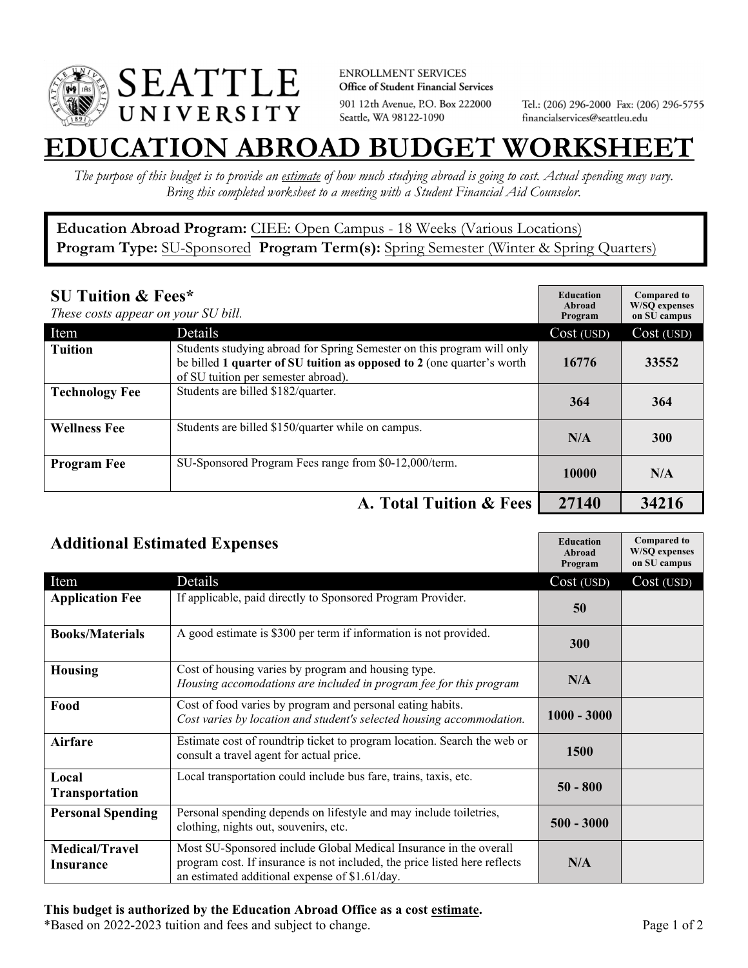

**ENROLLMENT SERVICES** Office of Student Financial Services 901 12th Avenue, P.O. Box 222000 Seattle, WA 98122-1090

Tel.: (206) 296-2000 Fax: (206) 296-5755 financialservices@seattleu.edu

## **EATION ABROAD BUDGET WORKSHEE**

*The purpose of this budget is to provide an estimate of how much studying abroad is going to cost. Actual spending may vary. Bring this completed worksheet to a meeting with a Student Financial Aid Counselor.* 

## **Education Abroad Program:** CIEE: Open Campus - 18 Weeks (Various Locations) Program Type: SU-Sponsored Program Term(s): Spring Semester (Winter & Spring Quarters)

| <b>SU Tuition &amp; Fees*</b><br>These costs appear on your SU bill. |                                                                                                                                                                                         | <b>Education</b><br>Abroad<br>Program | <b>Compared to</b><br><b>W/SO</b> expenses<br>on SU campus |
|----------------------------------------------------------------------|-----------------------------------------------------------------------------------------------------------------------------------------------------------------------------------------|---------------------------------------|------------------------------------------------------------|
| Item                                                                 | <b>Details</b>                                                                                                                                                                          | Cost (USD)                            | Cost (USD)                                                 |
| <b>Tuition</b>                                                       | Students studying abroad for Spring Semester on this program will only<br>be billed 1 quarter of SU tuition as opposed to 2 (one quarter's worth<br>of SU tuition per semester abroad). | 16776                                 | 33552                                                      |
| <b>Technology Fee</b>                                                | Students are billed \$182/quarter.                                                                                                                                                      | 364                                   | 364                                                        |
| <b>Wellness Fee</b>                                                  | Students are billed \$150/quarter while on campus.                                                                                                                                      | N/A                                   | 300                                                        |
| <b>Program Fee</b>                                                   | SU-Sponsored Program Fees range from \$0-12,000/term.                                                                                                                                   | 10000                                 | N/A                                                        |
|                                                                      | A. Total Tuition & Fees                                                                                                                                                                 | 27140                                 | 34216                                                      |

| <b>Additional Estimated Expenses</b> |                                                                                                                                                                                                   | <b>Education</b><br>Abroad<br>Program | <b>Compared to</b><br><b>W/SQ</b> expenses<br>on SU campus |
|--------------------------------------|---------------------------------------------------------------------------------------------------------------------------------------------------------------------------------------------------|---------------------------------------|------------------------------------------------------------|
| Item                                 | Details                                                                                                                                                                                           | Cost (USD)                            | Cost (USD)                                                 |
| <b>Application Fee</b>               | If applicable, paid directly to Sponsored Program Provider.                                                                                                                                       | 50                                    |                                                            |
| <b>Books/Materials</b>               | A good estimate is \$300 per term if information is not provided.                                                                                                                                 | 300                                   |                                                            |
| <b>Housing</b>                       | Cost of housing varies by program and housing type.<br>Housing accomodations are included in program fee for this program                                                                         | N/A                                   |                                                            |
| Food                                 | Cost of food varies by program and personal eating habits.<br>Cost varies by location and student's selected housing accommodation.                                                               | $1000 - 3000$                         |                                                            |
| <b>Airfare</b>                       | Estimate cost of roundtrip ticket to program location. Search the web or<br>consult a travel agent for actual price.                                                                              | 1500                                  |                                                            |
| Local<br><b>Transportation</b>       | Local transportation could include bus fare, trains, taxis, etc.                                                                                                                                  | $50 - 800$                            |                                                            |
| <b>Personal Spending</b>             | Personal spending depends on lifestyle and may include toiletries,<br>clothing, nights out, souvenirs, etc.                                                                                       | $500 - 3000$                          |                                                            |
| <b>Medical/Travel</b><br>Insurance   | Most SU-Sponsored include Global Medical Insurance in the overall<br>program cost. If insurance is not included, the price listed here reflects<br>an estimated additional expense of \$1.61/day. | N/A                                   |                                                            |

## **This budget is authorized by the Education Abroad Office as a cost estimate.**

\*Based on 2022-2023 tuition and fees and subject to change. Page 1 of 2